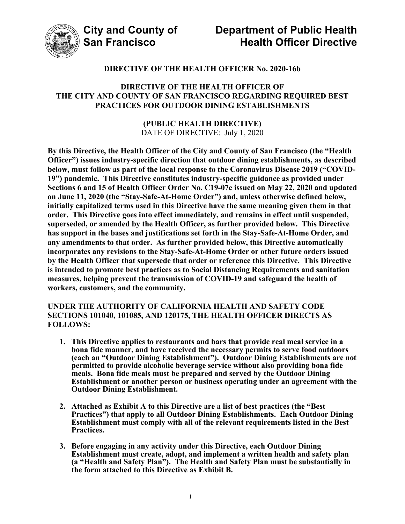

### **DIRECTIVE OF THE HEALTH OFFICER No. 2020-16b**

#### **DIRECTIVE OF THE HEALTH OFFICER OF THE CITY AND COUNTY OF SAN FRANCISCO REGARDING REQUIRED BEST PRACTICES FOR OUTDOOR DINING ESTABLISHMENTS**

#### **(PUBLIC HEALTH DIRECTIVE)**  DATE OF DIRECTIVE: July 1, 2020

**By this Directive, the Health Officer of the City and County of San Francisco (the "Health Officer") issues industry-specific direction that outdoor dining establishments, as described below, must follow as part of the local response to the Coronavirus Disease 2019 ("COVID-19") pandemic. This Directive constitutes industry-specific guidance as provided under Sections 6 and 15 of Health Officer Order No. C19-07e issued on May 22, 2020 and updated on June 11, 2020 (the "Stay-Safe-At-Home Order") and, unless otherwise defined below, initially capitalized terms used in this Directive have the same meaning given them in that order. This Directive goes into effect immediately, and remains in effect until suspended, superseded, or amended by the Health Officer, as further provided below. This Directive has support in the bases and justifications set forth in the Stay-Safe-At-Home Order, and any amendments to that order. As further provided below, this Directive automatically incorporates any revisions to the Stay-Safe-At-Home Order or other future orders issued by the Health Officer that supersede that order or reference this Directive. This Directive is intended to promote best practices as to Social Distancing Requirements and sanitation measures, helping prevent the transmission of COVID-19 and safeguard the health of workers, customers, and the community.** 

#### **UNDER THE AUTHORITY OF CALIFORNIA HEALTH AND SAFETY CODE SECTIONS 101040, 101085, AND 120175, THE HEALTH OFFICER DIRECTS AS FOLLOWS:**

- **1. This Directive applies to restaurants and bars that provide real meal service in a bona fide manner, and have received the necessary permits to serve food outdoors (each an "Outdoor Dining Establishment"). Outdoor Dining Establishments are not permitted to provide alcoholic beverage service without also providing bona fide meals. Bona fide meals must be prepared and served by the Outdoor Dining Establishment or another person or business operating under an agreement with the Outdoor Dining Establishment.**
- **2. Attached as Exhibit A to this Directive are a list of best practices (the "Best Practices") that apply to all Outdoor Dining Establishments. Each Outdoor Dining Establishment must comply with all of the relevant requirements listed in the Best Practices.**
- **3. Before engaging in any activity under this Directive, each Outdoor Dining Establishment must create, adopt, and implement a written health and safety plan (a "Health and Safety Plan"). The Health and Safety Plan must be substantially in the form attached to this Directive as Exhibit B.**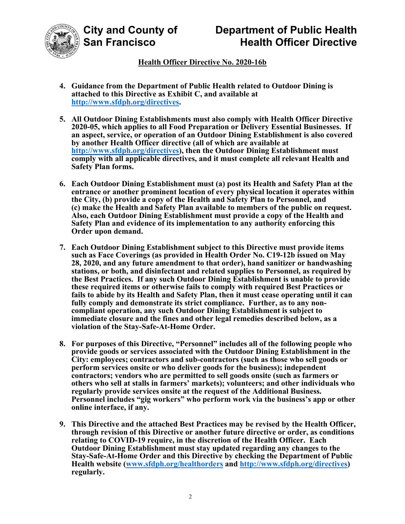



## **Health Officer Directive No. 2020-16b**

- **4. Guidance from the Department of Public Health related to Outdoor Dining is attached to this Directive as Exhibit C, and available at http://www.sfdph.org/directives.**
- **5. All Outdoor Dining Establishments must also comply with Health Officer Directive 2020-05, which applies to all Food Preparation or Delivery Essential Businesses. If an aspect, service, or operation of an Outdoor Dining Establishment is also covered by another Health Officer directive (all of which are available at http://www.sfdph.org/directives), then the Outdoor Dining Establishment must comply with all applicable directives, and it must complete all relevant Health and Safety Plan forms.**
- **6. Each Outdoor Dining Establishment must (a) post its Health and Safety Plan at the entrance or another prominent location of every physical location it operates within the City, (b) provide a copy of the Health and Safety Plan to Personnel, and (c) make the Health and Safety Plan available to members of the public on request. Also, each Outdoor Dining Establishment must provide a copy of the Health and Safety Plan and evidence of its implementation to any authority enforcing this Order upon demand.**
- **7. Each Outdoor Dining Establishment subject to this Directive must provide items such as Face Coverings (as provided in Health Order No. C19-12b issued on May 28, 2020, and any future amendment to that order), hand sanitizer or handwashing stations, or both, and disinfectant and related supplies to Personnel, as required by the Best Practices. If any such Outdoor Dining Establishment is unable to provide these required items or otherwise fails to comply with required Best Practices or fails to abide by its Health and Safety Plan, then it must cease operating until it can fully comply and demonstrate its strict compliance. Further, as to any noncompliant operation, any such Outdoor Dining Establishment is subject to immediate closure and the fines and other legal remedies described below, as a violation of the Stay-Safe-At-Home Order.**
- **8. For purposes of this Directive, "Personnel" includes all of the following people who provide goods or services associated with the Outdoor Dining Establishment in the City: employees; contractors and sub-contractors (such as those who sell goods or perform services onsite or who deliver goods for the business); independent contractors; vendors who are permitted to sell goods onsite (such as farmers or others who sell at stalls in farmers' markets); volunteers; and other individuals who regularly provide services onsite at the request of the Additional Business. Personnel includes "gig workers" who perform work via the business's app or other online interface, if any.**
- **9. This Directive and the attached Best Practices may be revised by the Health Officer, through revision of this Directive or another future directive or order, as conditions relating to COVID-19 require, in the discretion of the Health Officer. Each Outdoor Dining Establishment must stay updated regarding any changes to the Stay-Safe-At-Home Order and this Directive by checking the Department of Public Health website (www.sfdph.org/healthorders and http://www.sfdph.org/directives) regularly.**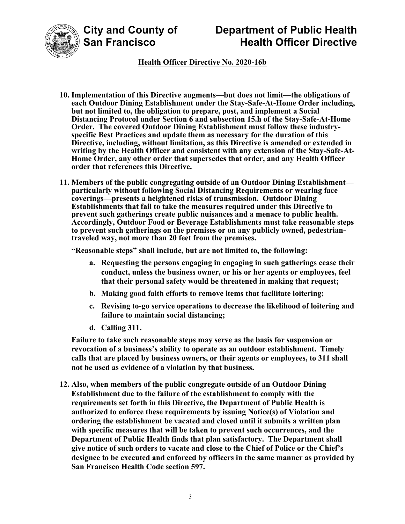

## **Health Officer Directive No. 2020-16b**

- **10. Implementation of this Directive augments—but does not limit—the obligations of each Outdoor Dining Establishment under the Stay-Safe-At-Home Order including, but not limited to, the obligation to prepare, post, and implement a Social Distancing Protocol under Section 6 and subsection 15.h of the Stay-Safe-At-Home Order. The covered Outdoor Dining Establishment must follow these industryspecific Best Practices and update them as necessary for the duration of this Directive, including, without limitation, as this Directive is amended or extended in writing by the Health Officer and consistent with any extension of the Stay-Safe-At-Home Order, any other order that supersedes that order, and any Health Officer order that references this Directive.**
- **11. Members of the public congregating outside of an Outdoor Dining Establishment particularly without following Social Distancing Requirements or wearing face coverings—presents a heightened risks of transmission. Outdoor Dining Establishments that fail to take the measures required under this Directive to prevent such gatherings create public nuisances and a menace to public health. Accordingly, Outdoor Food or Beverage Establishments must take reasonable steps to prevent such gatherings on the premises or on any publicly owned, pedestriantraveled way, not more than 20 feet from the premises.**

**"Reasonable steps" shall include, but are not limited to, the following:** 

- **a. Requesting the persons engaging in engaging in such gatherings cease their conduct, unless the business owner, or his or her agents or employees, feel that their personal safety would be threatened in making that request;**
- **b. Making good faith efforts to remove items that facilitate loitering;**
- **c. Revising to-go service operations to decrease the likelihood of loitering and failure to maintain social distancing;**
- **d. Calling 311.**

**Failure to take such reasonable steps may serve as the basis for suspension or revocation of a business's ability to operate as an outdoor establishment. Timely calls that are placed by business owners, or their agents or employees, to 311 shall not be used as evidence of a violation by that business.** 

**12. Also, when members of the public congregate outside of an Outdoor Dining Establishment due to the failure of the establishment to comply with the requirements set forth in this Directive, the Department of Public Health is authorized to enforce these requirements by issuing Notice(s) of Violation and ordering the establishment be vacated and closed until it submits a written plan with specific measures that will be taken to prevent such occurrences, and the Department of Public Health finds that plan satisfactory. The Department shall give notice of such orders to vacate and close to the Chief of Police or the Chief's designee to be executed and enforced by officers in the same manner as provided by San Francisco Health Code section 597.**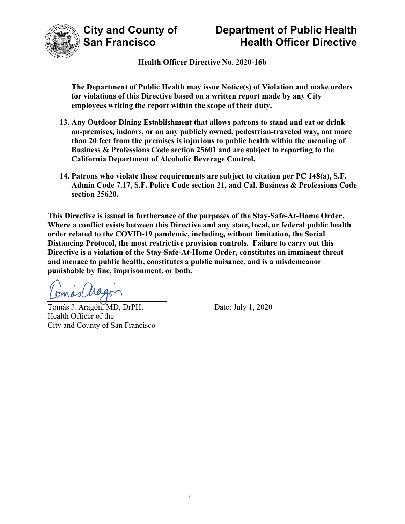

**Health Officer Directive No. 2020-16b** 

**The Department of Public Health may issue Notice(s) of Violation and make orders for violations of this Directive based on a written report made by any City employees writing the report within the scope of their duty.** 

- **13. Any Outdoor Dining Establishment that allows patrons to stand and eat or drink on-premises, indoors, or on any publicly owned, pedestrian-traveled way, not more than 20 feet from the premises is injurious to public health within the meaning of Business & Professions Code section 25601 and are subject to reporting to the California Department of Alcoholic Beverage Control.**
- **14. Patrons who violate these requirements are subject to citation per PC 148(a), S.F. Admin Code 7.17, S.F. Police Code section 21, and Cal. Business & Professions Code section 25620.**

**This Directive is issued in furtherance of the purposes of the Stay-Safe-At-Home Order. Where a conflict exists between this Directive and any state, local, or federal public health order related to the COVID-19 pandemic, including, without limitation, the Social Distancing Protocol, the most restrictive provision controls. Failure to carry out this Directive is a violation of the Stay-Safe-At-Home Order, constitutes an imminent threat and menace to public health, constitutes a public nuisance, and is a misdemeanor punishable by fine, imprisonment, or both.** 

mas Magon  $\overline{a}$ 

Tomás J. Aragón, MD, DrPH, Date: July 1, 2020 Health Officer of the City and County of San Francisco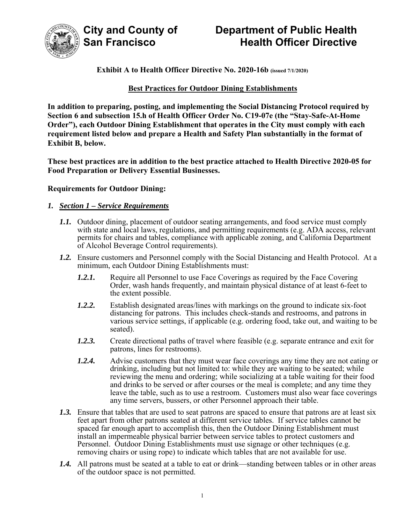

#### **Exhibit A to Health Officer Directive No. 2020-16b (issued 7/1/2020)**

#### **Best Practices for Outdoor Dining Establishments**

**In addition to preparing, posting, and implementing the Social Distancing Protocol required by Section 6 and subsection 15.h of Health Officer Order No. C19-07e (the "Stay-Safe-At-Home Order"), each Outdoor Dining Establishment that operates in the City must comply with each requirement listed below and prepare a Health and Safety Plan substantially in the format of Exhibit B, below.** 

**These best practices are in addition to the best practice attached to Health Directive 2020-05 for Food Preparation or Delivery Essential Businesses.** 

#### **Requirements for Outdoor Dining:**

#### *1. Section 1 – Service Requirements*

- *1.1.* Outdoor dining, placement of outdoor seating arrangements, and food service must comply with state and local laws, regulations, and permitting requirements (e.g. ADA access, relevant permits for chairs and tables, compliance with applicable zoning, and California Department of Alcohol Beverage Control requirements).
- *1.2.* Ensure customers and Personnel comply with the Social Distancing and Health Protocol. At a minimum, each Outdoor Dining Establishments must:
	- *1.2.1.* Require all Personnel to use Face Coverings as required by the Face Covering Order, wash hands frequently, and maintain physical distance of at least 6-feet to the extent possible.
	- *1.2.2.* Establish designated areas/lines with markings on the ground to indicate six-foot distancing for patrons. This includes check-stands and restrooms, and patrons in various service settings, if applicable (e.g. ordering food, take out, and waiting to be seated).
	- *1.2.3.* Create directional paths of travel where feasible (e.g. separate entrance and exit for patrons, lines for restrooms).
	- *1.2.4.* Advise customers that they must wear face coverings any time they are not eating or drinking, including but not limited to: while they are waiting to be seated; while reviewing the menu and ordering; while socializing at a table waiting for their food and drinks to be served or after courses or the meal is complete; and any time they leave the table, such as to use a restroom. Customers must also wear face coverings any time servers, bussers, or other Personnel approach their table.
- *1.3.* Ensure that tables that are used to seat patrons are spaced to ensure that patrons are at least six feet apart from other patrons seated at different service tables. If service tables cannot be spaced far enough apart to accomplish this, then the Outdoor Dining Establishment must install an impermeable physical barrier between service tables to protect customers and Personnel. Outdoor Dining Establishments must use signage or other techniques (e.g. removing chairs or using rope) to indicate which tables that are not available for use.
- *1.4.* All patrons must be seated at a table to eat or drink—standing between tables or in other areas of the outdoor space is not permitted.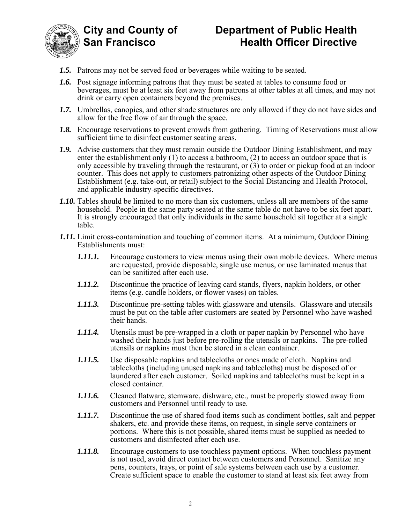



- *1.5.* Patrons may not be served food or beverages while waiting to be seated.
- *1.6.* Post signage informing patrons that they must be seated at tables to consume food or beverages, must be at least six feet away from patrons at other tables at all times, and may not drink or carry open containers beyond the premises.
- *1.7.* Umbrellas, canopies, and other shade structures are only allowed if they do not have sides and allow for the free flow of air through the space.
- *1.8.* Encourage reservations to prevent crowds from gathering. Timing of Reservations must allow sufficient time to disinfect customer seating areas.
- **1.9.** Advise customers that they must remain outside the Outdoor Dining Establishment, and may enter the establishment only (1) to access a bathroom, (2) to access an outdoor space that is only accessible by traveling through the restaurant, or (3) to order or pickup food at an indoor counter. This does not apply to customers patronizing other aspects of the Outdoor Dining Establishment (e.g. take-out, or retail) subject to the Social Distancing and Health Protocol, and applicable industry-specific directives.
- *1.10.* Tables should be limited to no more than six customers, unless all are members of the same household. People in the same party seated at the same table do not have to be six feet apart. It is strongly encouraged that only individuals in the same household sit together at a single table.
- *1.11.* Limit cross-contamination and touching of common items. At a minimum, Outdoor Dining Establishments must:
	- *1.11.1.* Encourage customers to view menus using their own mobile devices. Where menus are requested, provide disposable, single use menus, or use laminated menus that can be sanitized after each use.
	- *1.11.2.* Discontinue the practice of leaving card stands, flyers, napkin holders, or other items (e.g. candle holders, or flower vases) on tables.
	- *1.11.3.* Discontinue pre-setting tables with glassware and utensils. Glassware and utensils must be put on the table after customers are seated by Personnel who have washed their hands.
	- *1.11.4.* Utensils must be pre-wrapped in a cloth or paper napkin by Personnel who have washed their hands just before pre-rolling the utensils or napkins. The pre-rolled utensils or napkins must then be stored in a clean container.
	- *1.11.5.* Use disposable napkins and tablecloths or ones made of cloth. Napkins and tablecloths (including unused napkins and tablecloths) must be disposed of or laundered after each customer. Soiled napkins and tablecloths must be kept in a closed container.
	- *1.11.6.* Cleaned flatware, stemware, dishware, etc., must be properly stowed away from customers and Personnel until ready to use.
	- *1.11.7.* Discontinue the use of shared food items such as condiment bottles, salt and pepper shakers, etc. and provide these items, on request, in single serve containers or portions. Where this is not possible, shared items must be supplied as needed to customers and disinfected after each use.
	- *1.11.8.* Encourage customers to use touchless payment options. When touchless payment is not used, avoid direct contact between customers and Personnel. Sanitize any pens, counters, trays, or point of sale systems between each use by a customer. Create sufficient space to enable the customer to stand at least six feet away from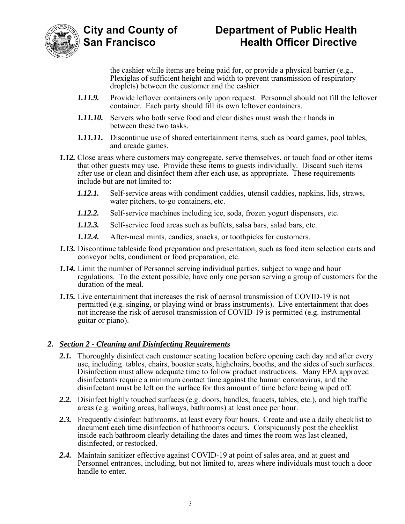

the cashier while items are being paid for, or provide a physical barrier (e.g., Plexiglas of sufficient height and width to prevent transmission of respiratory droplets) between the customer and the cashier.

- *1.11.9.* Provide leftover containers only upon request. Personnel should not fill the leftover container. Each party should fill its own leftover containers.
- *1.11.10.* Servers who both serve food and clear dishes must wash their hands in between these two tasks.
- *1.11.11.* Discontinue use of shared entertainment items, such as board games, pool tables, and arcade games.
- *1.12.* Close areas where customers may congregate, serve themselves, or touch food or other items that other guests may use. Provide these items to guests individually. Discard such items after use or clean and disinfect them after each use, as appropriate. These requirements include but are not limited to:
	- *1.12.1.* Self-service areas with condiment caddies, utensil caddies, napkins, lids, straws, water pitchers, to-go containers, etc.
	- *1.12.2.* Self-service machines including ice, soda, frozen yogurt dispensers, etc.
	- *1.12.3.* Self-service food areas such as buffets, salsa bars, salad bars, etc.
	- *1.12.4.* After-meal mints, candies, snacks, or toothpicks for customers.
- *1.13.* Discontinue tableside food preparation and presentation, such as food item selection carts and conveyor belts, condiment or food preparation, etc.
- *1.14.* Limit the number of Personnel serving individual parties, subject to wage and hour regulations. To the extent possible, have only one person serving a group of customers for the duration of the meal.
- *1.15.* Live entertainment that increases the risk of aerosol transmission of COVID-19 is not permitted (e.g. singing, or playing wind or brass instruments). Live entertainment that does not increase the risk of aerosol transmission of COVID-19 is permitted (e.g. instrumental guitar or piano).

#### *2. Section 2 - Cleaning and Disinfecting Requirements*

- *2.1.* Thoroughly disinfect each customer seating location before opening each day and after every use, including tables, chairs, booster seats, highchairs, booths, and the sides of such surfaces. Disinfection must allow adequate time to follow product instructions. Many EPA approved disinfectants require a minimum contact time against the human coronavirus, and the disinfectant must be left on the surface for this amount of time before being wiped off.
- *2.2.* Disinfect highly touched surfaces (e.g. doors, handles, faucets, tables, etc.), and high traffic areas (e.g. waiting areas, hallways, bathrooms) at least once per hour.
- *2.3.* Frequently disinfect bathrooms, at least every four hours. Create and use a daily checklist to document each time disinfection of bathrooms occurs. Conspicuously post the checklist inside each bathroom clearly detailing the dates and times the room was last cleaned, disinfected, or restocked.
- *2.4.* Maintain sanitizer effective against COVID-19 at point of sales area, and at guest and Personnel entrances, including, but not limited to, areas where individuals must touch a door handle to enter.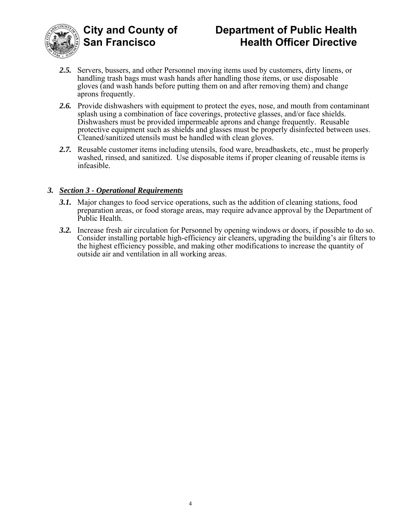



- *2.5.* Servers, bussers, and other Personnel moving items used by customers, dirty linens, or handling trash bags must wash hands after handling those items, or use disposable gloves (and wash hands before putting them on and after removing them) and change aprons frequently.
- *2.6.* Provide dishwashers with equipment to protect the eyes, nose, and mouth from contaminant splash using a combination of face coverings, protective glasses, and/or face shields. Dishwashers must be provided impermeable aprons and change frequently. Reusable protective equipment such as shields and glasses must be properly disinfected between uses. Cleaned/sanitized utensils must be handled with clean gloves.
- *2.7.* Reusable customer items including utensils, food ware, breadbaskets, etc., must be properly washed, rinsed, and sanitized. Use disposable items if proper cleaning of reusable items is infeasible.

### *3. Section 3 - Operational Requirements*

- *3.1.* Major changes to food service operations, such as the addition of cleaning stations, food preparation areas, or food storage areas, may require advance approval by the Department of Public Health.
- *3.2.* Increase fresh air circulation for Personnel by opening windows or doors, if possible to do so. Consider installing portable high-efficiency air cleaners, upgrading the building's air filters to the highest efficiency possible, and making other modifications to increase the quantity of outside air and ventilation in all working areas.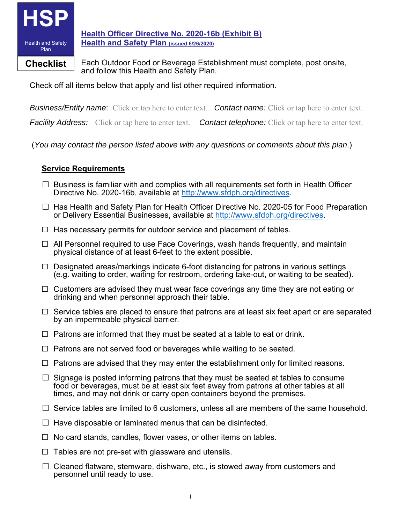

**Health Officer Directive No. 2020-16b (Exhibit B) Health and Safety Plan (issued 6/26/2020)**

**Checklist** Fach Outdoor Food or Beverage Establishment must complete, post onsite, and follow this Health and Safety Plan.

Check off all items below that apply and list other required information.

*Business/Entity name*:Click or tap here to enter text. *Contact name:* Click or tap here to enter text.

*Facility Address:* Click or tap here to enter text. *Contact telephone:* Click or tap here to enter text.

(*You may contact the person listed above with any questions or comments about this plan*.)

## **Service Requirements**

- $\Box$  Business is familiar with and complies with all requirements set forth in Health Officer Directive No. 2020-16b, available at http://www.sfdph.org/directives.
- □ Has Health and Safety Plan for Health Officer Directive No. 2020-05 for Food Preparation or Delivery Essential Businesses, available at http://www.sfdph.org/directives.
- $\Box$  Has necessary permits for outdoor service and placement of tables.
- $\Box$  All Personnel required to use Face Coverings, wash hands frequently, and maintain physical distance of at least 6-feet to the extent possible.
- $\Box$  Designated areas/markings indicate 6-foot distancing for patrons in various settings (e.g. waiting to order, waiting for restroom, ordering take-out, or waiting to be seated).
- $\Box$  Customers are advised they must wear face coverings any time they are not eating or drinking and when personnel approach their table.
- $\Box$  Service tables are placed to ensure that patrons are at least six feet apart or are separated by an impermeable physical barrier.
- $\Box$  Patrons are informed that they must be seated at a table to eat or drink.
- $\Box$  Patrons are not served food or beverages while waiting to be seated.
- $\Box$  Patrons are advised that they may enter the establishment only for limited reasons.
- $\Box$  Signage is posted informing patrons that they must be seated at tables to consume food or beverages, must be at least six feet away from patrons at other tables at all times, and may not drink or carry open containers beyond the premises.
- $\Box$  Service tables are limited to 6 customers, unless all are members of the same household.
- $\Box$  Have disposable or laminated menus that can be disinfected.
- $\Box$  No card stands, candles, flower vases, or other items on tables.
- $\Box$  Tables are not pre-set with glassware and utensils.
- $\Box$  Cleaned flatware, stemware, dishware, etc., is stowed away from customers and personnel until ready to use.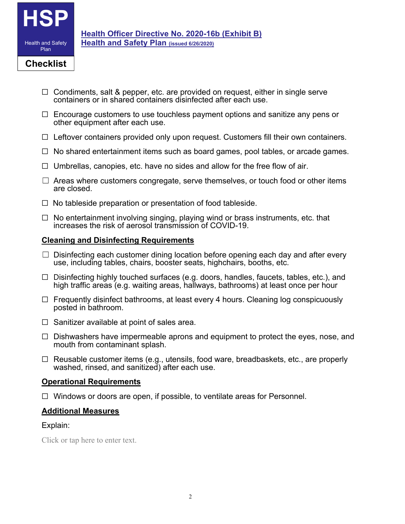

- $\Box$  Condiments, salt & pepper, etc. are provided on request, either in single serve containers or in shared containers disinfected after each use.
- $\Box$  Encourage customers to use touchless payment options and sanitize any pens or other equipment after each use.
- $\Box$  Leftover containers provided only upon request. Customers fill their own containers.
- $\Box$  No shared entertainment items such as board games, pool tables, or arcade games.
- $\Box$  Umbrellas, canopies, etc. have no sides and allow for the free flow of air.
- $\Box$  Areas where customers congregate, serve themselves, or touch food or other items are closed.
- $\Box$  No tableside preparation or presentation of food tableside.
- $\Box$  No entertainment involving singing, playing wind or brass instruments, etc. that increases the risk of aerosol transmission of COVID-19.

#### **Cleaning and Disinfecting Requirements**

- $\Box$  Disinfecting each customer dining location before opening each day and after every use, including tables, chairs, booster seats, highchairs, booths, etc.
- $\Box$  Disinfecting highly touched surfaces (e.g. doors, handles, faucets, tables, etc.), and high traffic areas (e.g. waiting areas, hallways, bathrooms) at least once per hour
- $\Box$  Frequently disinfect bathrooms, at least every 4 hours. Cleaning log conspicuously posted in bathroom.
- $\Box$  Sanitizer available at point of sales area.
- $\Box$  Dishwashers have impermeable aprons and equipment to protect the eyes, nose, and mouth from contaminant splash.
- $\Box$  Reusable customer items (e.g., utensils, food ware, breadbaskets, etc., are properly washed, rinsed, and sanitized) after each use.

#### **Operational Requirements**

 $\Box$  Windows or doors are open, if possible, to ventilate areas for Personnel.

### **Additional Measures**

### Explain:

Click or tap here to enter text.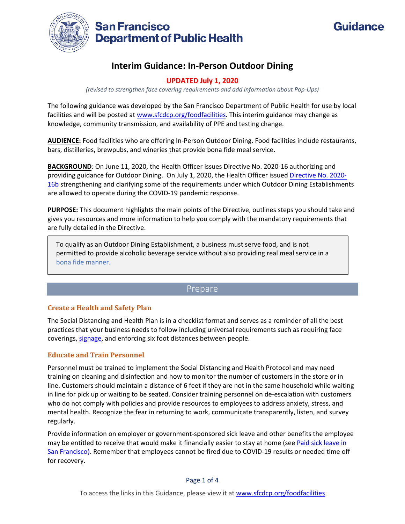

## **Interim Guidance: In-Person Outdoor Dining**

#### **UPDATED July 1, 2020**

*(revised to strengthen face covering requirements and add information about Pop-Ups)*

The following guidance was developed by the San Francisco Department of Public Health for use by local facilities and will be posted at [www.sfcdcp.org/foodfacilities.](http://www.sfcdcp.org/foodfacilities) This interim guidance may change as knowledge, community transmission, and availability of PPE and testing change.

**AUDIENCE:** Food facilities who are offering In-Person Outdoor Dining. Food facilities include restaurants, bars, distilleries, brewpubs, and wineries that provide bona fide meal service.

**BACKGROUND**: On June 11, 2020, the Health Officer issues Directive No. 2020-16 authorizing and providing guidance for Outdoor Dining. On July 1, 2020, the Health Officer issued [Directive No. 2020-](https://www.sfdph.org/dph/alerts/files/Directive-2020-16-Outdoor-Dining.pdf) [16b](https://www.sfdph.org/dph/alerts/files/Directive-2020-16-Outdoor-Dining.pdf) strengthening and clarifying some of the requirements under which Outdoor Dining Establishments are allowed to operate during the COVID-19 pandemic response.

**PURPOSE:** This document highlights the main points of the Directive, outlines steps you should take and gives you resources and more information to help you comply with the mandatory requirements that are fully detailed in the Directive.

To qualify as an Outdoor Dining Establishment, a business must serve food, and is not permitted to provide alcoholic beverage service without also providing real meal service in a [bona fide manner.](#page-11-0)

### Prepare

#### **Create a Health and Safety Plan**

The Social Distancing and Health Plan is in a checklist format and serves as a reminder of all the best practices that your business needs to follow including universal requirements such as requiring face coverings[, signage,](https://sf.gov/outreach-toolkit-coronavirus-covid-19) and enforcing six foot distances between people.

#### **Educate and Train Personnel**

Personnel must be trained to implement the Social Distancing and Health Protocol and may need training on cleaning and disinfection and how to monitor the number of customers in the store or in line. Customers should maintain a distance of 6 feet if they are not in the same household while waiting in line for pick up or waiting to be seated. Consider training personnel on de-escalation with customers who do not comply with policies and provide resources to employees to address anxiety, stress, and mental health. Recognize the fear in returning to work, communicate transparently, listen, and survey regularly.

Provide information on employer or government-sponsored sick leave and other benefits the employee may be entitled to receive that would make it financially easier to stay at home (see [Paid sick leave in](https://sfgov.org/olse/san-francisco-paid-sick-leave-coronavirus)  [San Francisco\)](https://sfgov.org/olse/san-francisco-paid-sick-leave-coronavirus). Remember that employees cannot be fired due to COVID-19 results or needed time off for recovery.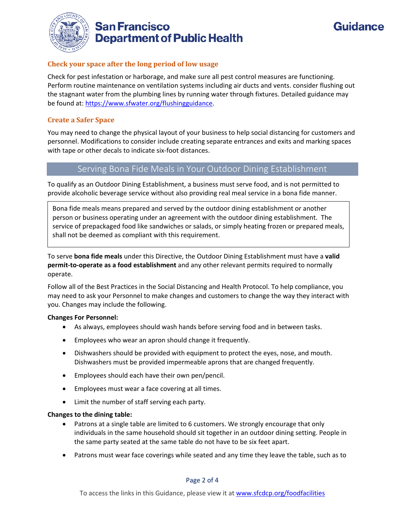

## **San Francisco Department of Public Health**



#### **Check your space after the long period of low usage**

Check for pest infestation or harborage, and make sure all pest control measures are functioning. Perform routine maintenance on ventilation systems including air ducts and vents. consider flushing out the stagnant water from the plumbing lines by running water through fixtures. Detailed guidance may be found at: [https://www.sfwater.org/flushingguidance.](https://www.sfwater.org/flushingguidance)

#### **Create a Safer Space**

<span id="page-11-0"></span>You may need to change the physical layout of your business to help social distancing for customers and personnel. Modifications to consider include creating separate entrances and exits and marking spaces with tape or other decals to indicate six-foot distances.

## Serving Bona Fide Meals in Your Outdoor Dining Establishment

To qualify as an Outdoor Dining Establishment, a business must serve food, and is not permitted to provide alcoholic beverage service without also providing real meal service in a bona fide manner.

Bona fide meals means prepared and served by the outdoor dining establishment or another person or business operating under an agreement with the outdoor dining establishment. The service of prepackaged food like sandwiches or salads, or simply heating frozen or prepared meals, shall not be deemed as compliant with this requirement.

To serve **bona fide meals** under this Directive, the Outdoor Dining Establishment must have a **valid permit-to-operate as a food establishment** and any other relevant permits required to normally operate.

Follow all of the Best Practices in the Social Distancing and Health Protocol. To help compliance, you may need to ask your Personnel to make changes and customers to change the way they interact with you. Changes may include the following.

#### **Changes For Personnel:**

- As always, employees should wash hands before serving food and in between tasks.
- Employees who wear an apron should change it frequently.
- Dishwashers should be provided with equipment to protect the eyes, nose, and mouth. Dishwashers must be provided impermeable aprons that are changed frequently.
- Employees should each have their own pen/pencil.
- Employees must wear a face covering at all times.
- Limit the number of staff serving each party.

#### **Changes to the dining table:**

- Patrons at a single table are limited to 6 customers. We strongly encourage that only individuals in the same household should sit together in an outdoor dining setting. People in the same party seated at the same table do not have to be six feet apart.
- Patrons must wear face coverings while seated and any time they leave the table, such as to

Page 2 of 4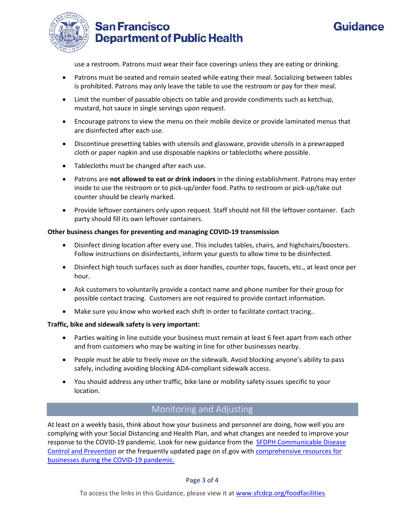

# **San Francisco Department of Public Health**

# Guidance

use a restroom. Patrons must wear their face coverings unless they are eating or drinking.

- Patrons must be seated and remain seated while eating their meal. Socializing between tables is prohibited. Patrons may only leave the table to use the restroom or pay for their meal.
- Limit the number of passable objects on table and provide condiments such as ketchup, mustard, hot sauce in single servings upon request.
- Encourage patrons to view the menu on their mobile device or provide laminated menus that are disinfected after each use.
- Discontinue presetting tables with utensils and glassware, provide utensils in a prewrapped cloth or paper napkin and use disposable napkins or tablecloths where possible.
- Tablecloths must be changed after each use.
- Patrons are **not allowed to eat or drink indoors** in the dining establishment. Patrons may enter inside to use the restroom or to pick-up/order food. Paths to restroom or pick-up/take out counter should be clearly marked.
- Provide leftover containers only upon request. Staff should not fill the leftover container. Each party should fill its own leftover containers.

#### **Other business changes for preventing and managing COVID-19 transmission**

- Disinfect dining location after every use. This includes tables, chairs, and highchairs/boosters. Follow instructions on disinfectants, inform your guests to allow time to be disinfected.
- Disinfect high touch surfaces such as door handles, counter tops, faucets, etc., at least once per hour.
- Ask customers to voluntarily provide a contact name and phone number for their group for possible contact tracing. Customers are not required to provide contact information.
- Make sure you know who worked each shift in order to facilitate contact tracing..

#### **Traffic, bike and sidewalk safety is very important:**

- Parties waiting in line outside your business must remain at least 6 feet apart from each other and from customers who may be waiting in line for other businesses nearby.
- People must be able to freely move on the sidewalk. Avoid blocking anyone's ability to pass safely, including avoiding blocking ADA-compliant sidewalk access.
- You should address any other traffic, bike lane or mobility safety issues specific to your location.

## Monitoring and Adjusting

At least on a weekly basis, think about how your business and personnel are doing, how well you are complying with your Social Distancing and Health Plan, and what changes are needed to improve your response to the COVID-19 pandemic. Look for new guidance from the [SFDPH Communicable Disease](https://www.sfcdcp.org/communicable-disease/diseases-a-z/covid19whatsnew/)  [Control and Prevention](https://www.sfcdcp.org/communicable-disease/diseases-a-z/covid19whatsnew/) or the frequently updated page on sf.gov with [comprehensive resources for](https://sf.gov/topics/business-during-coronavirus-pandemic)  [businesses during the COVID-19 pandemic.](https://sf.gov/topics/business-during-coronavirus-pandemic)

#### Page 3 of 4